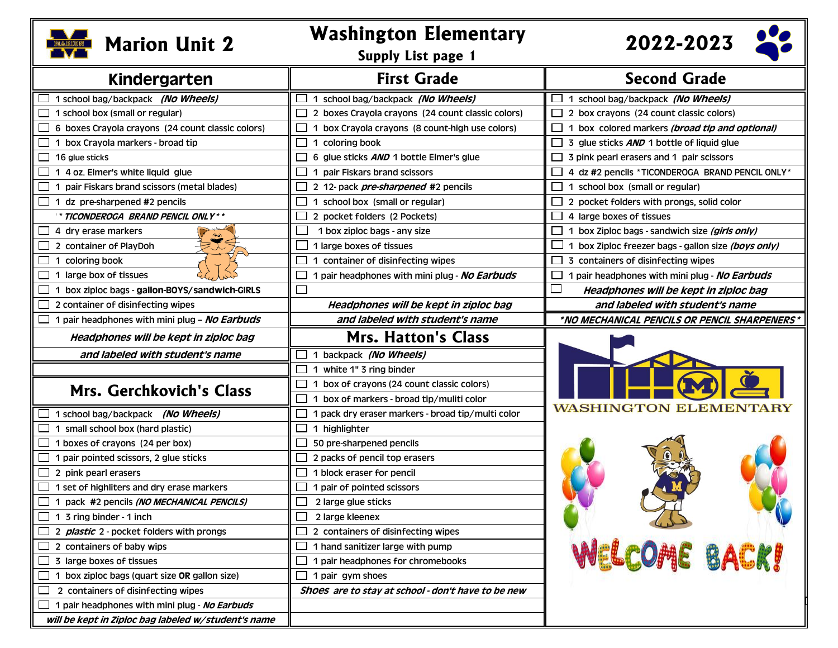

## **Marion Unit 2 Washington Elementary Marion Unit 2**

**Supply List page 1**

 **2022-2023**

 $\bullet\bullet$ 

| Kindergarten                                        | <b>First Grade</b>                                          | <b>Second Grade</b>                                                       |
|-----------------------------------------------------|-------------------------------------------------------------|---------------------------------------------------------------------------|
| 1 school bag/backpack (No Wheels)                   | 1 school bag/backpack (No Wheels)<br>ப                      | $\Box$ 1 school bag/backpack (No Wheels)                                  |
| 1 school box (small or regular)                     | $\Box$<br>2 boxes Crayola crayons (24 count classic colors) | 2 box crayons (24 count classic colors)                                   |
| 6 boxes Crayola crayons (24 count classic colors)   | 1 box Crayola crayons (8 count-high use colors)<br>$\Box$   | 1 box colored markers (broad tip and optional)                            |
| 1 box Crayola markers - broad tip                   | $\Box$<br>1 coloring book                                   | 3 glue sticks AND 1 bottle of liquid glue                                 |
| 16 glue sticks                                      | 6 glue sticks AND 1 bottle Elmer's glue<br>$\mathbf{L}$     | 3 pink pearl erasers and 1 pair scissors                                  |
| 1 4 oz. Elmer's white liquid glue                   | 1 pair Fiskars brand scissors<br>$\Box$                     | 4 dz #2 pencils *TICONDEROGA BRAND PENCIL ONLY *                          |
| 1 pair Fiskars brand scissors (metal blades)        | $\Box$<br>2 12- pack <i>pre-sharpened</i> #2 pencils        | 1 school box (small or regular)                                           |
| 1 dz pre-sharpened #2 pencils                       | $\Box$<br>1 school box (small or regular)                   | 2 pocket folders with prongs, solid color<br>ட                            |
| * TICONDEROGA  BRAND PENCIL ONLY**                  | $\Box$<br>2 pocket folders (2 Pockets)                      | 4 large boxes of tissues                                                  |
| 4 dry erase markers                                 | $\overline{\phantom{a}}$<br>1 box ziploc bags - any size    | 1 box Ziploc bags - sandwich size (girls only)                            |
| 2 container of PlayDoh                              | 1 large boxes of tissues                                    | 1 box Ziploc freezer bags - gallon size (boys only)                       |
| 1 coloring book                                     | 1 container of disinfecting wipes<br>$\Box$                 | 3 containers of disinfecting wipes                                        |
| 1 large box of tissues                              | $\Box$<br>1 pair headphones with mini plug - No Earbuds     | 1 pair headphones with mini plug - No Earbuds<br>$\overline{\phantom{a}}$ |
| 1 box ziploc bags - gallon-BOYS/sandwich-GIRLS      | $\Box$                                                      | Headphones will be kept in ziploc bag                                     |
| 2 container of disinfecting wipes                   | Headphones will be kept in ziploc bag                       | and labeled with student's name                                           |
| 1 pair headphones with mini plug - No Earbuds       | and labeled with student's name                             | *NO MECHANICAL PENCILS OR PENCIL SHARPENERS*                              |
| Headphones will be kept in ziploc bag               | <b>Mrs. Hatton's Class</b>                                  |                                                                           |
| and labeled with student's name                     | 1 backpack (No Wheels)<br>$\mathsf{L}$                      |                                                                           |
|                                                     | $\Box$<br>1 white 1" 3 ring binder                          |                                                                           |
|                                                     | ப<br>1 box of crayons (24 count classic colors)             |                                                                           |
| Mrs. Gerchkovich's Class                            | 1 box of markers - broad tip/muliti color<br>$\Box$         |                                                                           |
| 1 school bag/backpack (No Wheels)                   | 1 pack dry eraser markers - broad tip/multi color<br>$\Box$ | WASHINGTON                                                                |
| 1 small school box (hard plastic)                   | $\Box$<br>1 highlighter                                     |                                                                           |
| 1 boxes of crayons (24 per box)                     | $\Box$<br>50 pre-sharpened pencils                          |                                                                           |
| 1 pair pointed scissors, 2 glue sticks              | $\mathbb{R}^n$<br>2 packs of pencil top erasers             |                                                                           |
| 2 pink pearl erasers                                | $\mathbf{L}$<br>1 block eraser for pencil                   |                                                                           |
| 1 set of highliters and dry erase markers           | $\Box$<br>1 pair of pointed scissors                        |                                                                           |
| 1 pack #2 pencils (NO MECHANICAL PENCILS)           | $\Box$<br>2 large glue sticks                               |                                                                           |
| 1 3 ring binder - 1 inch                            | $\Box$<br>2 large kleenex                                   |                                                                           |
| 2 <i>plastic</i> 2 - pocket folders with prongs     | $\Box$<br>2 containers of disinfecting wipes                |                                                                           |
| 2 containers of baby wips                           | $\Box$<br>1 hand sanitizer large with pump                  |                                                                           |
| 3 large boxes of tissues                            | 1 pair headphones for chromebooks<br>$\Box$                 | <b>WELCOME BACK!</b>                                                      |
| 1 box ziploc bags (quart size OR gallon size)       | ப<br>1 pair gym shoes                                       |                                                                           |
| 2 containers of disinfecting wipes                  | Shoes are to stay at school - don't have to be new          |                                                                           |
| 1 pair headphones with mini plug - No Earbuds       |                                                             |                                                                           |
| will be kept in Ziploc bag labeled w/student's name |                                                             |                                                                           |